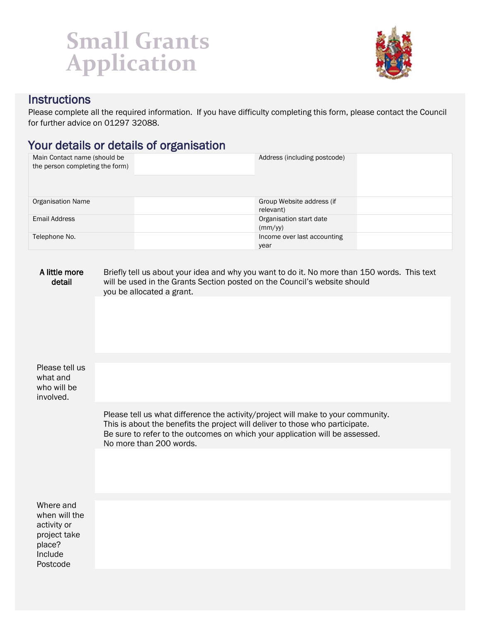## **Small Grants Application**



## **Instructions**

Please complete all the required information. If you have difficulty completing this form, please contact the Council for further advice on 01297 32088.

## Your details or details of organisation

| Main Contact name (should be<br>the person completing the form)                            |                                                                                                                                                                                                                                                                              | Address (including postcode)           |  |  |
|--------------------------------------------------------------------------------------------|------------------------------------------------------------------------------------------------------------------------------------------------------------------------------------------------------------------------------------------------------------------------------|----------------------------------------|--|--|
| Organisation Name                                                                          |                                                                                                                                                                                                                                                                              | Group Website address (if<br>relevant) |  |  |
| <b>Email Address</b>                                                                       |                                                                                                                                                                                                                                                                              | Organisation start date<br>(mm/yy)     |  |  |
| Telephone No.                                                                              |                                                                                                                                                                                                                                                                              | Income over last accounting<br>year    |  |  |
| A little more<br>detail                                                                    | Briefly tell us about your idea and why you want to do it. No more than 150 words. This text<br>will be used in the Grants Section posted on the Council's website should<br>you be allocated a grant.                                                                       |                                        |  |  |
|                                                                                            |                                                                                                                                                                                                                                                                              |                                        |  |  |
| Please tell us<br>what and<br>who will be<br>involved.                                     |                                                                                                                                                                                                                                                                              |                                        |  |  |
|                                                                                            | Please tell us what difference the activity/project will make to your community.<br>This is about the benefits the project will deliver to those who participate.<br>Be sure to refer to the outcomes on which your application will be assessed.<br>No more than 200 words. |                                        |  |  |
|                                                                                            |                                                                                                                                                                                                                                                                              |                                        |  |  |
| Where and<br>when will the<br>activity or<br>project take<br>place?<br>Include<br>Postcode |                                                                                                                                                                                                                                                                              |                                        |  |  |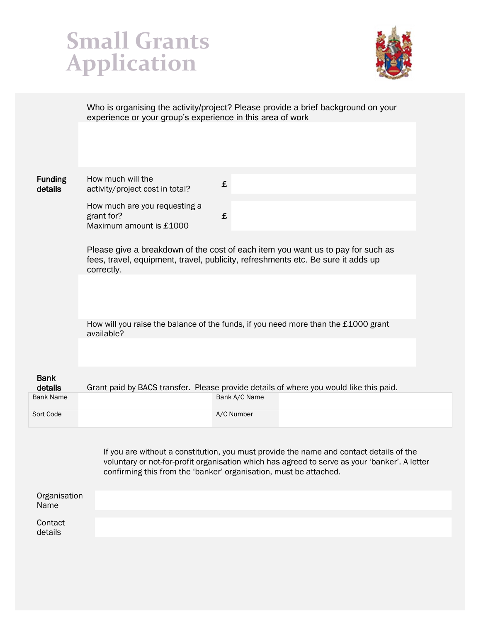



Who is organising the activity/project? Please provide a brief background on your experience or your group's experience in this area of work

**Funding** details How much will the  $\frac{1}{2}$  activity/project cost in total? How much are you requesting a grant for? Maximum amount is £1000 £ Please give a breakdown of the cost of each item you want us to pay for such as fees, travel, equipment, travel, publicity, refreshments etc. Be sure it adds up correctly. How will you raise the balance of the funds, if you need more than the £1000 grant available? Bank details Grant paid by BACS transfer. Please provide details of where you would like this paid. Bank Name Bank A/C Name

Sort Code A/C Number

If you are without a constitution, you must provide the name and contact details of the voluntary or not-for-profit organisation which has agreed to serve as your 'banker'. A letter confirming this from the 'banker' organisation, must be attached.

| Organisation<br>Name |  |  |
|----------------------|--|--|
| Contact<br>details   |  |  |